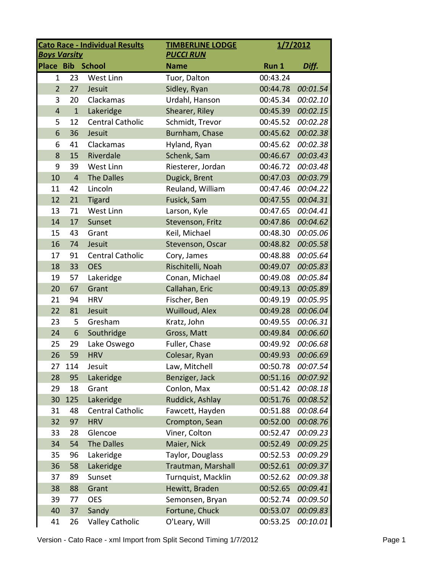| <b>Cato Race - Individual Results</b><br><b>Boys Varsity</b> |                |                         | <b>TIMBERLINE LODGE</b><br><b>PUCCI RUN</b> |          | 1/7/2012 |  |
|--------------------------------------------------------------|----------------|-------------------------|---------------------------------------------|----------|----------|--|
| <b>Place Bib</b>                                             |                | <b>School</b>           | <b>Name</b>                                 | Run 1    | Diff.    |  |
| $\mathbf{1}$                                                 | 23             | West Linn               | Tuor, Dalton                                | 00:43.24 |          |  |
| $\overline{2}$                                               | 27             | Jesuit                  | Sidley, Ryan                                | 00:44.78 | 00:01.54 |  |
| 3                                                            | 20             | Clackamas               | Urdahl, Hanson                              | 00:45.34 | 00:02.10 |  |
| $\overline{4}$                                               | $\mathbf{1}$   | Lakeridge               | Shearer, Riley                              | 00:45.39 | 00:02.15 |  |
| 5                                                            | 12             | <b>Central Catholic</b> | Schmidt, Trevor                             | 00:45.52 | 00:02.28 |  |
| 6                                                            | 36             | Jesuit                  | Burnham, Chase                              | 00:45.62 | 00:02.38 |  |
| 6                                                            | 41             | Clackamas               | Hyland, Ryan                                | 00:45.62 | 00:02.38 |  |
| 8                                                            | 15             | Riverdale               | Schenk, Sam                                 | 00:46.67 | 00:03.43 |  |
| 9                                                            | 39             | West Linn               | Riesterer, Jordan                           | 00:46.72 | 00:03.48 |  |
| 10                                                           | $\overline{4}$ | <b>The Dalles</b>       | Dugick, Brent                               | 00:47.03 | 00:03.79 |  |
| 11                                                           | 42             | Lincoln                 | Reuland, William                            | 00:47.46 | 00:04.22 |  |
| 12                                                           | 21             | <b>Tigard</b>           | Fusick, Sam                                 | 00:47.55 | 00:04.31 |  |
| 13                                                           | 71             | <b>West Linn</b>        | Larson, Kyle                                | 00:47.65 | 00:04.41 |  |
| 14                                                           | 17             | Sunset                  | Stevenson, Fritz                            | 00:47.86 | 00:04.62 |  |
| 15                                                           | 43             | Grant                   | Keil, Michael                               | 00:48.30 | 00:05.06 |  |
| 16                                                           | 74             | Jesuit                  | Stevenson, Oscar                            | 00:48.82 | 00:05.58 |  |
| 17                                                           | 91             | <b>Central Catholic</b> | Cory, James                                 | 00:48.88 | 00:05.64 |  |
| 18                                                           | 33             | <b>OES</b>              | Rischitelli, Noah                           | 00:49.07 | 00:05.83 |  |
| 19                                                           | 57             | Lakeridge               | Conan, Michael                              | 00:49.08 | 00:05.84 |  |
| 20                                                           | 67             | Grant                   | Callahan, Eric                              | 00:49.13 | 00:05.89 |  |
| 21                                                           | 94             | <b>HRV</b>              | Fischer, Ben                                | 00:49.19 | 00:05.95 |  |
| 22                                                           | 81             | Jesuit                  | Wuilloud, Alex                              | 00:49.28 | 00:06.04 |  |
| 23                                                           | 5              | Gresham                 | Kratz, John                                 | 00:49.55 | 00:06.31 |  |
| 24                                                           | 6              | Southridge              | Gross, Matt                                 | 00:49.84 | 00:06.60 |  |
| 25                                                           | 29             | Lake Oswego             | Fuller, Chase                               | 00:49.92 | 00:06.68 |  |
| 26                                                           | 59             | <b>HRV</b>              | Colesar, Ryan                               | 00:49.93 | 00:06.69 |  |
| 27                                                           | 114            | Jesuit                  | Law, Mitchell                               | 00:50.78 | 00:07.54 |  |
| 28                                                           | 95             | Lakeridge               | Benziger, Jack                              | 00:51.16 | 00:07.92 |  |
| 29                                                           | 18             | Grant                   | Conlon, Max                                 | 00:51.42 | 00:08.18 |  |
| 30                                                           | 125            | Lakeridge               | Ruddick, Ashlay                             | 00:51.76 | 00:08.52 |  |
| 31                                                           | 48             | <b>Central Catholic</b> | Fawcett, Hayden                             | 00:51.88 | 00:08.64 |  |
| 32                                                           | 97             | <b>HRV</b>              | Crompton, Sean                              | 00:52.00 | 00:08.76 |  |
| 33                                                           | 28             | Glencoe                 | Viner, Colton                               | 00:52.47 | 00:09.23 |  |
| 34                                                           | 54             | The Dalles              | Maier, Nick                                 | 00:52.49 | 00:09.25 |  |
| 35                                                           | 96             | Lakeridge               | Taylor, Douglass                            | 00:52.53 | 00:09.29 |  |
| 36                                                           | 58             | Lakeridge               | Trautman, Marshall                          | 00:52.61 | 00:09.37 |  |
| 37                                                           | 89             | Sunset                  | Turnquist, Macklin                          | 00:52.62 | 00:09.38 |  |
| 38                                                           | 88             | Grant                   | Hewitt, Braden                              | 00:52.65 | 00:09.41 |  |
| 39                                                           | 77             | <b>OES</b>              | Semonsen, Bryan                             | 00:52.74 | 00:09.50 |  |
| 40                                                           | 37             | Sandy                   | Fortune, Chuck                              | 00:53.07 | 00:09.83 |  |
| 41                                                           | 26             | <b>Valley Catholic</b>  | O'Leary, Will                               | 00:53.25 | 00:10.01 |  |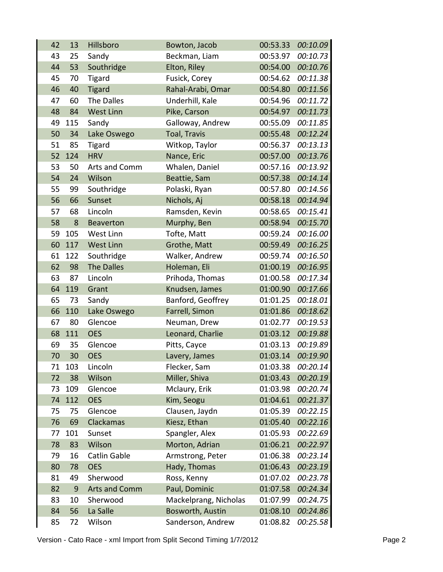| 42 | 13  | Hillsboro            | Bowton, Jacob         | 00:53.33 | 00:10.09 |
|----|-----|----------------------|-----------------------|----------|----------|
| 43 | 25  | Sandy                | Beckman, Liam         | 00:53.97 | 00:10.73 |
| 44 | 53  | Southridge           | Elton, Riley          | 00:54.00 | 00:10.76 |
| 45 | 70  | <b>Tigard</b>        | Fusick, Corey         | 00:54.62 | 00:11.38 |
| 46 | 40  | <b>Tigard</b>        | Rahal-Arabi, Omar     | 00:54.80 | 00:11.56 |
| 47 | 60  | The Dalles           | Underhill, Kale       | 00:54.96 | 00:11.72 |
| 48 | 84  | <b>West Linn</b>     | Pike, Carson          | 00:54.97 | 00:11.73 |
| 49 | 115 | Sandy                | Galloway, Andrew      | 00:55.09 | 00:11.85 |
| 50 | 34  | Lake Oswego          | Toal, Travis          | 00:55.48 | 00:12.24 |
| 51 | 85  | <b>Tigard</b>        | Witkop, Taylor        | 00:56.37 | 00:13.13 |
| 52 | 124 | <b>HRV</b>           | Nance, Eric           | 00:57.00 | 00:13.76 |
| 53 | 50  | Arts and Comm        | Whalen, Daniel        | 00:57.16 | 00:13.92 |
| 54 | 24  | Wilson               | Beattie, Sam          | 00:57.38 | 00:14.14 |
| 55 | 99  | Southridge           | Polaski, Ryan         | 00:57.80 | 00:14.56 |
| 56 | 66  | Sunset               | Nichols, Aj           | 00:58.18 | 00:14.94 |
| 57 | 68  | Lincoln              | Ramsden, Kevin        | 00:58.65 | 00:15.41 |
| 58 | 8   | <b>Beaverton</b>     | Murphy, Ben           | 00:58.94 | 00:15.70 |
| 59 | 105 | West Linn            | Tofte, Matt           | 00:59.24 | 00:16.00 |
| 60 | 117 | <b>West Linn</b>     | Grothe, Matt          | 00:59.49 | 00:16.25 |
| 61 | 122 | Southridge           | Walker, Andrew        | 00:59.74 | 00:16.50 |
| 62 | 98  | <b>The Dalles</b>    | Holeman, Eli          | 01:00.19 | 00:16.95 |
| 63 | 87  | Lincoln              | Prihoda, Thomas       | 01:00.58 | 00:17.34 |
| 64 | 119 | Grant                | Knudsen, James        | 01:00.90 | 00:17.66 |
| 65 | 73  | Sandy                | Banford, Geoffrey     | 01:01.25 | 00:18.01 |
| 66 | 110 | Lake Oswego          | Farrell, Simon        | 01:01.86 | 00:18.62 |
| 67 | 80  | Glencoe              | Neuman, Drew          | 01:02.77 | 00:19.53 |
| 68 | 111 | <b>OES</b>           | Leonard, Charlie      | 01:03.12 | 00:19.88 |
| 69 | 35  | Glencoe              | Pitts, Cayce          | 01:03.13 | 00:19.89 |
| 70 | 30  | <b>OES</b>           | Lavery, James         | 01:03.14 | 00:19.90 |
| 71 | 103 | Lincoln              | Flecker, Sam          | 01:03.38 | 00:20.14 |
| 72 | 38  | Wilson               | Miller, Shiva         | 01:03.43 | 00:20.19 |
| 73 | 109 | Glencoe              | Mclaury, Erik         | 01:03.98 | 00:20.74 |
| 74 | 112 | <b>OES</b>           | Kim, Seogu            | 01:04.61 | 00:21.37 |
| 75 | 75  | Glencoe              | Clausen, Jaydn        | 01:05.39 | 00:22.15 |
| 76 | 69  | Clackamas            | Kiesz, Ethan          | 01:05.40 | 00:22.16 |
| 77 | 101 | Sunset               | Spangler, Alex        | 01:05.93 | 00:22.69 |
| 78 | 83  | Wilson               | Morton, Adrian        | 01:06.21 | 00:22.97 |
| 79 | 16  | Catlin Gable         | Armstrong, Peter      | 01:06.38 | 00:23.14 |
| 80 | 78  | <b>OES</b>           | Hady, Thomas          | 01:06.43 | 00:23.19 |
| 81 | 49  | Sherwood             | Ross, Kenny           | 01:07.02 | 00:23.78 |
| 82 | 9   | <b>Arts and Comm</b> | Paul, Dominic         | 01:07.58 | 00:24.34 |
| 83 | 10  | Sherwood             | Mackelprang, Nicholas | 01:07.99 | 00:24.75 |
| 84 | 56  | La Salle             | Bosworth, Austin      | 01:08.10 | 00:24.86 |
| 85 | 72  | Wilson               | Sanderson, Andrew     | 01:08.82 | 00:25.58 |